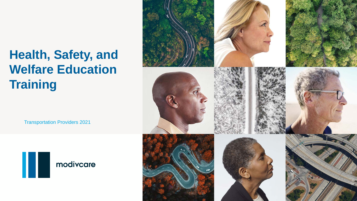Transportation Providers 2021





# **Health, Safety, and Welfare Education Training**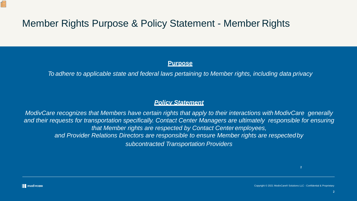## Member Rights Purpose & Policy Statement - Member Rights

### **Purpose**

*To adhere to applicable state and federal laws pertaining to Member rights, including data privacy*

### *Policy Statement*

*ModivCare recognizes that Members have certain rights that apply to their interactions with ModivCare generally* and their requests for transportation specifically. Contact Center Managers are ultimately responsible for ensuring *that Member rights are respected by Contact Center employees, and Provider Relations Directors are responsible to ensure Member rights are respectedby subcontracted Transportation Providers*

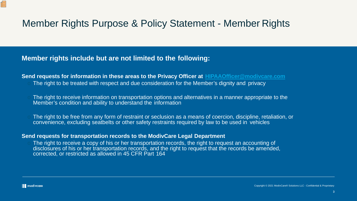**Send requests for information in these areas to the Privacy Officer at [HIPAAOfficer@modivcare.com](mailto:HIPAAOfficer@modivcare.com)** The right to be treated with respect and due consideration for the Member's dignity and privacy

## Member Rights Purpose & Policy Statement - Member Rights

## **Member rights include but are not limited to the following:**

The right to receive information on transportation options and alternatives in a manner appropriate to the Member's condition and ability to understand the information

The right to be free from any form of restraint or seclusion as a means of coercion, discipline, retaliation, or convenience, excluding seatbelts or other safety restraints required by law to be used in vehicles

The right to receive a copy of his or her transportation records, the right to request an accounting of disclosures of his or her transportation records, and the right to request that the records be amended, corrected, or restricted as allowed in 45 CFR Part 164

佢

### **Send requests for transportation records to the ModivCare Legal Department**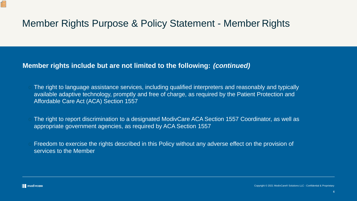## Member Rights Purpose & Policy Statement - Member Rights

## **Member rights include but are not limited to the following:** *(continued)*

- The right to language assistance services, including qualified interpreters and reasonably and typically available adaptive technology, promptly and free of charge, as required by the Patient Protection and Affordable Care Act (ACA) Section 1557
- The right to report discrimination to a designated ModivCare ACA Section 1557 Coordinator, as well as appropriate government agencies, as required by ACA Section 1557
- Freedom to exercise the rights described in this Policy without any adverse effect on the provision of services to the Member

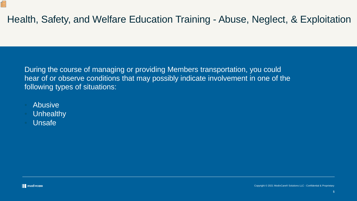# Health, Safety, and Welfare Education Training - Abuse, Neglect, & Exploitation

During the course of managing or providing Members transportation, you could hear of or observe conditions that may possibly indicate involvement in one of the following types of situations:

**Abusive** 

但

- Unhealthy
- **Unsafe**

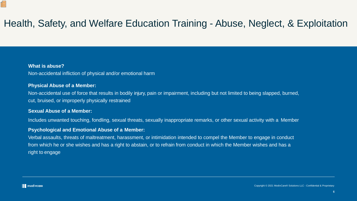# Health, Safety, and Welfare Education Training - Abuse, Neglect, & Exploitation

### **What is abuse?**

Œ

Non-accidental infliction of physical and/or emotional harm

### **Physical Abuse of a Member:**

Non-accidental use of force that results in bodily injury, pain or impairment, including but not limited to being slapped, burned, cut, bruised, or improperly physically restrained

### **Sexual Abuse of a Member:**

Includes unwanted touching, fondling, sexual threats, sexually inappropriate remarks, or other sexual activity with a Member

### **Psychological and Emotional Abuse of a Member:**

Verbal assaults, threats of maltreatment, harassment, or intimidation intended to compel the Member to engage in conduct from which he or she wishes and has a right to abstain, or to refrain from conduct in which the Member wishes and has a right to engage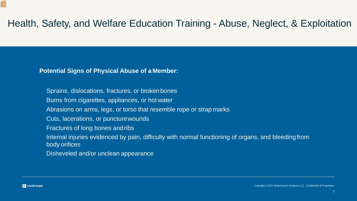# Health, Safety, and Welfare Education Training - Abuse, Neglect, & Exploitation

### **Potential Signs of Physical Abuse of a Member:**

- Sprains, dislocations, fractures, or broken bones
- Burns from cigarettes, appliances, or hot water
- Abrasions on arms, legs, or torso that resemble rope or strap marks
- Cuts, lacerations, or puncturewounds
- Fractures of long bones andribs
- Internal injuries evidenced by pain, difficulty with normal functioning of organs, and bleeding from body orifices
- Disheveled and/or unclean appearance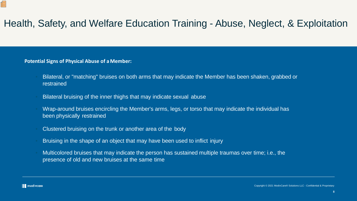# Health, Safety, and Welfare Education Training - Abuse, Neglect, & Exploitation

### **Potential Signs of Physical Abuse of aMember:**

- Bilateral, or "matching" bruises on both arms that may indicate the Member has been shaken, grabbed or restrained
- Bilateral bruising of the inner thighs that may indicate sexual abuse
- Wrap-around bruises encircling the Member's arms, legs, or torso that may indicate the individual has been physically restrained
- Clustered bruising on the trunk or another area of the body
- Bruising in the shape of an object that may have been used to inflict injury
- Multicolored bruises that may indicate the person has sustained multiple traumas over time; i.e., the presence of old and new bruises at the same time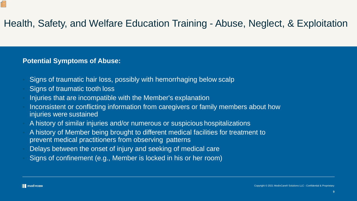- Signs of traumatic hair loss, possibly with hemorrhaging below scalp
- Signs of traumatic tooth loss
- Injuries that are incompatible with the Member's explanation
- Inconsistent or conflicting information from caregivers or family members about how injuries were sustained
- A history of similar injuries and/or numerous or suspicious hospitalizations
- A history of Member being brought to different medical facilities for treatment to prevent medical practitioners from observing patterns
- Delays between the onset of injury and seeking of medical care
- Signs of confinement (e.g., Member is locked in his or her room)

佢

# Health, Safety, and Welfare Education Training - Abuse, Neglect, & Exploitation

## **Potential Symptoms of Abuse:**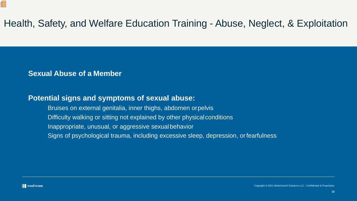- Bruises on external genitalia, inner thighs, abdomen orpelvis
- Difficulty walking or sitting not explained by other physical conditions
- Inappropriate, unusual, or aggressive sexual behavior
- Signs of psychological trauma, including excessive sleep, depression, or fearfulness

# Health, Safety, and Welfare Education Training - Abuse, Neglect, & Exploitation

Œ

## **Sexual Abuse of a Member**

## **Potential signs and symptoms of sexual abuse:**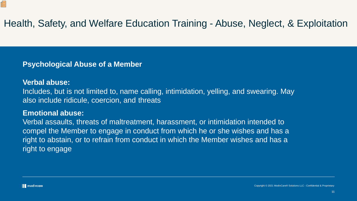# Health, Safety, and Welfare Education Training - Abuse, Neglect, & Exploitation

Includes, but is not limited to, name calling, intimidation, yelling, and swearing. May also include ridicule, coercion, and threats

## **Psychological Abuse of a Member**

## **Verbal abuse:**

佢

## **Emotional abuse:**

Verbal assaults, threats of maltreatment, harassment, or intimidation intended to compel the Member to engage in conduct from which he or she wishes and has a right to abstain, or to refrain from conduct in which the Member wishes and has a right to engage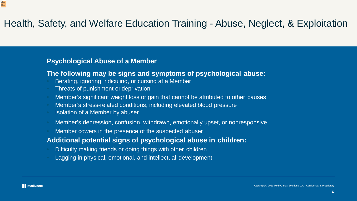# Health, Safety, and Welfare Education Training - Abuse, Neglect, & Exploitation

- Berating, ignoring, ridiculing, or cursing at a Member
- Threats of punishment or deprivation
- Member's significant weight loss or gain that cannot be attributed to other causes
- Member's stress-related conditions, including elevated blood pressure
- Isolation of a Member by abuser
- Member's depression, confusion, withdrawn, emotionally upset, or nonresponsive
- Member cowers in the presence of the suspected abuser

## **Psychological Abuse of a Member**

## **The following may be signs and symptoms of psychological abuse:**

## **Additional potential signs of psychological abuse in children:**

- Difficulty making friends or doing things with other children
- Lagging in physical, emotional, and intellectual development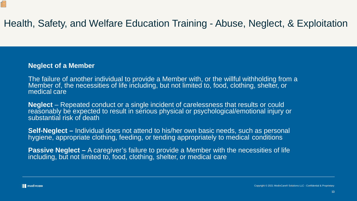# Health, Safety, and Welfare Education Training - Abuse, Neglect, & Exploitation

## **Neglect of a Member**

The failure of another individual to provide a Member with, or the willful withholding from a<br>Member of, the necessities of life including, but not limited to, food, clothing, shelter, or medical care

**Neglect** – Repeated conduct or a single incident of carelessness that results or could reasonably be expected to result in serious physical or psychological/emotional injury or substantial risk of death

**Self-Neglect –** Individual does not attend to his/her own basic needs, such as personal hygiene, appropriate clothing, feeding, or tending appropriately to medical conditions

**Passive Neglect –** A caregiver's failure to provide a Member with the necessities of life including, but not limited to, food, clothing, shelter, or medical care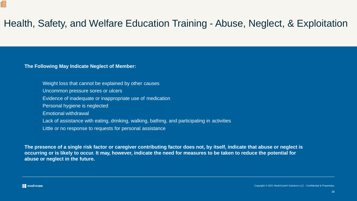# Health, Safety, and Welfare Education Training - Abuse, Neglect, & Exploitation

**The Following May Indicate Neglect of Member:**

- Weight loss that cannot be explained by other causes
- Uncommon pressure sores or ulcers
- Evidence of inadequate or inappropriate use of medication
- Personal hygiene is neglected
- Emotional withdrawal
- Lack of assistance with eating, drinking, walking, bathing, and participating in activities
- Little or no response to requests for personal assistance

**The presence of a single risk factor or caregiver contributing factor does not, by itself, indicate that abuse or neglect is occurring or is likely to occur. It may, however, indicate the need for measures to be taken to reduce the potential for abuse or neglect in the future.**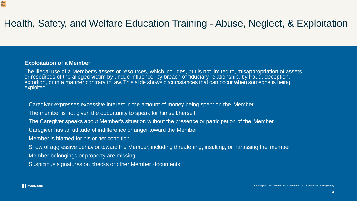# Health, Safety, and Welfare Education Training - Abuse, Neglect, & Exploitation

### **Exploitation of a Member**

佢

The illegal use of a Member's assets or resources, which includes, but is not limited to, misappropriation of assets or resources of the alleged victim by undue influence, by breach of fiduciary relationship, by fraud, deception, extortion, or in a manner contrary to law. This slide shows circumstances that can occur when someone is being exploited.

- Caregiver expresses excessive interest in the amount of money being spent on the Member
- The member is not given the opportunity to speak for himself/herself
- The Caregiver speaks about Member's situation without the presence or participation of the Member
- Caregiver has an attitude of indifference or anger toward the Member
- Member is blamed for his or her condition
- Show of aggressive behavior toward the Member, including threatening, insulting, or harassing the member
- Member belongings or property are missing
- Suspicious signatures on checks or other Member documents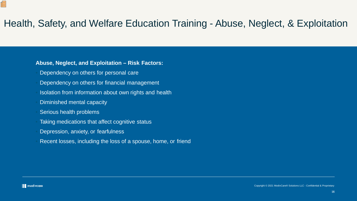- Dependency on others for personal care
- Dependency on others for financial management
- Isolation from information about own rights and health
- Diminished mental capacity
- Serious health problems
- Taking medications that affect cognitive status
- Depression, anxiety, or fearfulness
- Recent losses, including the loss of a spouse, home, or friend

Œ

# Health, Safety, and Welfare Education Training - Abuse, Neglect, & Exploitation

### **Abuse, Neglect, and Exploitation – Risk Factors:**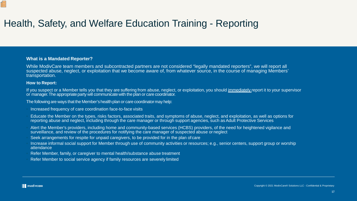# Health, Safety, and Welfare Education Training - Reporting

### **What is a Mandated Reporter?**

While ModivCare team members and subcontracted partners are not considered "legally mandated reporters", we will report all suspected abuse, neglect, or exploitation that we become aware of, from whatever source, in the course of managing Members' transportation.

- Increased frequency of care coordination face-to-face visits
- Educate the Member on the types, risks factors, associated traits, and symptoms of abuse, neglect, and exploitation, as well as options for reporting abuse and neglect, including through the care manager or through support agencies, such as Adult Protective Services
- Alert the Member's providers, including home and community-based services (HCBS) providers, of the need for heightened vigilance and surveillance, and review of the procedures for notifying the care manager of suspected abuse or neglect
- Seek arrangements for respite for unpaid caregivers, to be provided for in the plan ofcare
- Increase informal social support for Member through use of community activities or resources; e.g., senior centers, support group or worship attendance
- Refer Member, family, or caregiver to mental health/substance abuse treatment
- Refer Member to social service agency if family resources are severely limited

### **How to Report:**

Œ

If you suspect or a Member tells you that they are suffering from abuse, neglect, or exploitation, you should immediately report it to your supervisor or manager. The appropriate party will communicate with the plan or care coordinator.

The following are ways that the Member's health plan or care coordinator may help: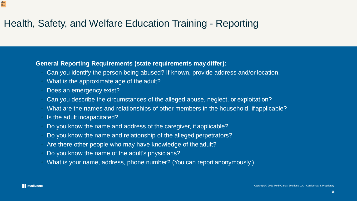# Health, Safety, and Welfare Education Training - Reporting

### **General Reporting Requirements (state requirements may differ):**

- Can you identify the person being abused? If known, provide address and/or location.
- What is the approximate age of the adult?
- Does an emergency exist?
- Can you describe the circumstances of the alleged abuse, neglect, or exploitation?
- What are the names and relationships of other members in the household, if applicable?
- Is the adult incapacitated?
- Do you know the name and address of the caregiver, if applicable?
- Do you know the name and relationship of the alleged perpetrators?
- Are there other people who may have knowledge of the adult?
- Do you know the name of the adult's physicians?
- What is your name, address, phone number? (You can report anonymously.)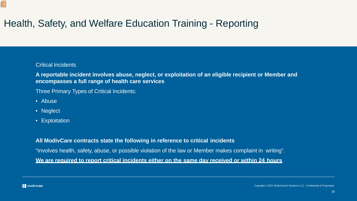# Health, Safety, and Welfare Education Training - Reporting

### Critical Incidents

**A reportable incident involves abuse, neglect, or exploitation of an eligible recipient or Member and encompasses a full range of health care services**

Three Primary Types of Critical Incidents:

• Abuse

Œ

- Neglect
- Exploitation

### **All ModivCare contracts state the following in reference to critical incidents**

"Involves health, safety, abuse, or possible violation of the law or Member makes complaint in writing". **We are required to report critical incidents either on the same day received or within 24 hours**

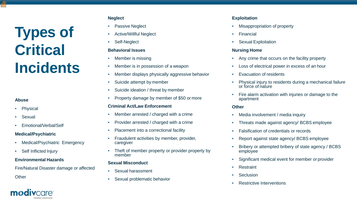# **Types of Critical Incidents**

### **Neglect**

- **Passive Neglect**
- Active/Willful Neglect
- Self-Neglect

### **Behavioral Issues**

- Member is missing
- Member is in possession of a weapon
- Member displays physically aggressive behavior
- Suicide attempt by member
- Suicide ideation / threat by member
- Property damage by member of \$50 or more

### **Criminal Act/Law Enforcement**

- Misappropriation of property
- Financial
- **Sexual Exploitation**

- Member arrested / charged with a crime
- Provider arrested / charged with a crime
- Placement into a correctional facility
- Fraudulent activities by member, provider, caregiver
- Theft of member property or provider property by member

### **Sexual Misconduct**

- Any crime that occurs on the facility property
- Loss of electrical power in excess of an hour
- **Evacuation of residents**
- Physical injury to residents during a mechanical failure or force of nature
- Fire alarm activation with injuries or damage to the apartment

- Sexual harassment
- Sexual problematic behavior

### **Abuse**

- Physical
- Sexual
- Emotional/Verbal/Self

### **Medical/Psychiatric**

- Medical/Psychiatric Emergency
- Self Inflicted Injury

### **Environmental Hazards**

Fire/Natural Disaster damage or affected

**Other** 

### **Exploitation**

### **Nursing Home**

### **Other**

- Media involvement / media inquiry
- Threats made against agency/ BCBS employee
- Falsification of credentials or records
- Report against state agency/ BCBS employee
- Bribery or attempted bribery of state agency / BCBS employee
- Significant medical event for member or provider
- **Restraint**
- **Seclusion**
- **Restrictive Interventions**

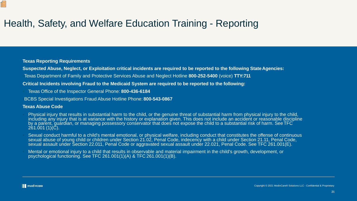## Health, Safety, and Welfare Education Training - Reporting

### **Texas Reporting Requirements**

- **Suspected Abuse, Neglect, or Exploitation critical incidents are required to be reported to the following State Agencies:**
- •Texas Department of Family and Protective Services Abuse and Neglect Hotline **800-252-5400** (voice) **TTY:711**

- Physical injury that results in substantial harm to the child, or the genuine threat of substantial harm from physical injury to the child, including any injury that is at variance with the history or explanation given. This does not include an accident or reasonable discipline by a parent, guardian, or managing possessory conservator that does not expose the child to a substantial risk of harm. SeeTFC 261.001 (1)(C).
- Sexual conduct harmful to a child's mental emotional, or physical welfare, including conduct that constitutes the offense of continuous sexual abuse of young child or children under Section 21.02, Penal Code, indecency with a child under Section 21.11, Penal Code, sexual assault under Section 22.011, Penal Code or aggravated sexual assault under 22.021, Penal Code. See TFC 261.001(E).
- Mental or emotional injury to a child that results in observable and material impairment in the child's growth, development, or psychological functioning. See TFC 261.001(1)(A) & TFC 261.001(1)(B).

### **Critical Incidents involving Fraud to the Medicaid System are required to be reported to the following:**

- Texas Office of the Inspector General Phone: **800-436-6184**
- •BCBS Special Investigations Fraud Abuse Hotline Phone: **800-543-0867**

### **Texas Abuse Code**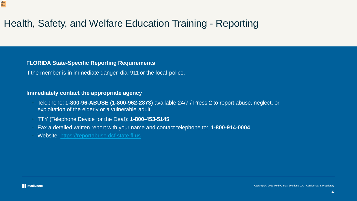# Health, Safety, and Welfare Education Training - Reporting

### **FLORIDA State-Specific Reporting Requirements**

If the member is in immediate danger, dial 911 or the local police.

### **Immediately contact the appropriate agency**

- Telephone: **1-800-96-ABUSE (1-800-962-2873)** available 24/7 / Press 2 to report abuse, neglect, or exploitation of the elderly or a vulnerable adult
- TTY (Telephone Device for the Deaf): **1-800-453-5145**
- Fax a detailed written report with your name and contact telephone to: **1-800-914-0004**
- Website: [https://reportabuse.dcf.state.fl.us](https://reportabuse.dcf.state.fl.us/)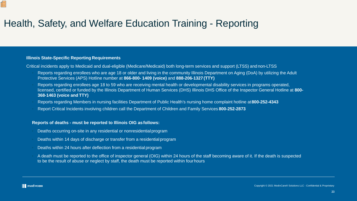## Health, Safety, and Welfare Education Training - Reporting

### **Illinois State-Specific Reporting Requirements**

Critical incidents apply to Medicaid and dual-eligible (Medicare/Medicaid) both long-term services and support (LTSS) and non-LTSS

- Reports regarding enrollees who are age 18 or older and living in the community Illinois Department on Aging (DoA) by utilizing the Adult Protective Services (APS) Hotline number at **866-800- 1409 (voice)** and **888-206-1327 (TTY)**
- Reports regarding enrollees age 18 to 59 who are receiving mental health or developmental disability services in programs operated, licensed, certified or funded by the Illinois Department of Human Services (DHS) Illinois DHS Office of the Inspector General Hotline at **800- 368-1463 (voice and TTY)**
- Reports regarding Members in nursing facilities Department of Public Health's nursing home complaint hotline at**800-252-4343**
- Report Critical Incidents involving children call the Department of Children and Family Services **800-252-2873**

### **Reports of deaths - must be reported to Illinois OIG asfollows:**

- Deaths occurring on-site in any residential or nonresidentialprogram
- Deaths within 14 days of discharge or transfer from a residentialprogram
- Deaths within 24 hours after deflection from a residential program
- A death must be reported to the office of inspector general (OIG) within 24 hours of the staff becoming aware of it. If the death is suspected to be the result of abuse or neglect by staff, the death must be reported within fourhours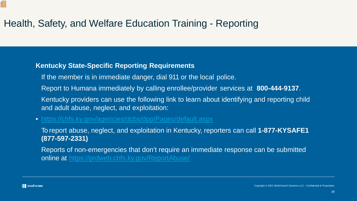# Health, Safety, and Welfare Education Training - Reporting

## **Kentucky State-Specific Reporting Requirements**

- If the member is in immediate danger, dial 911 or the local police.
- Report to Humana immediately by calling enrollee/provider services at **800-444-9137**.
- Kentucky providers can use the following link to learn about identifying and reporting child and adult abuse, neglect, and exploitation:
- <https://chfs.ky.gov/agencies/dcbs/dpp/Pages/default.aspx>
- To report abuse, neglect, and exploitation in Kentucky, reporters can call **1-877-KYSAFE1 (877-597-2331)**
- Reports of non-emergencies that don't require an immediate response can be submitted online at <https://prdweb.chfs.ky.gov/ReportAbuse/>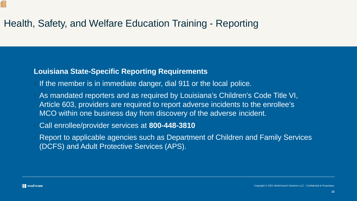# Health, Safety, and Welfare Education Training - Reporting

## **Louisiana State-Specific Reporting Requirements**

- If the member is in immediate danger, dial 911 or the local police.
- As mandated reporters and as required by Louisiana's Children's Code Title VI, Article 603, providers are required to report adverse incidents to the enrollee's MCO within one business day from discovery of the adverse incident.
- Call enrollee/provider services at **800-448-3810**
- Report to applicable agencies such as Department of Children and Family Services (DCFS) and Adult Protective Services (APS).